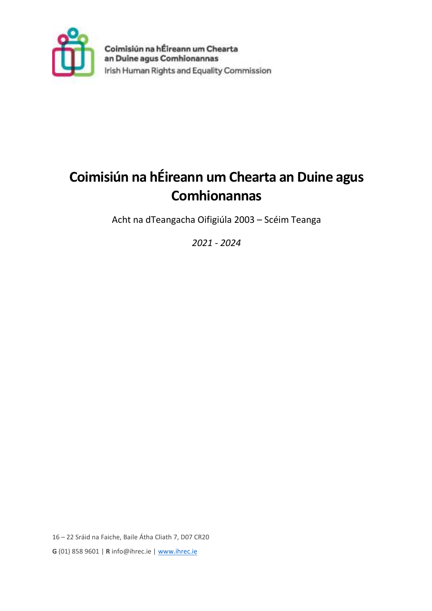

# **Coimisiún na hÉireann um Chearta an Duine agus Comhionannas**

Acht na dTeangacha Oifigiúla 2003 – Scéim Teanga

*2021 - 2024*

16 – 22 Sráid na Faiche, Baile Átha Cliath 7, D07 CR20 **G** (01) 858 9601 | **R** info@ihrec.ie | www.ihrec.ie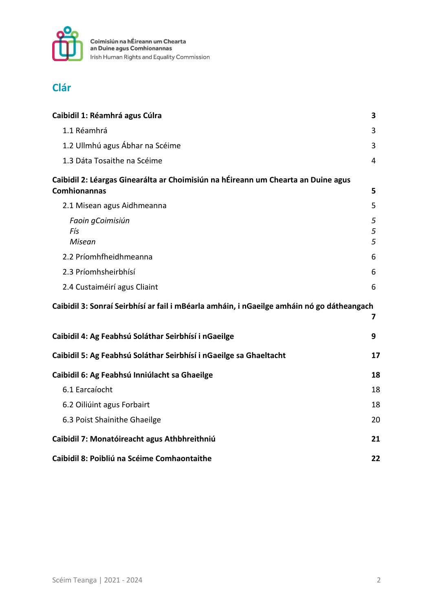

### **Clár**

| Caibidil 1: Réamhrá agus Cúlra                                                                           | 3           |
|----------------------------------------------------------------------------------------------------------|-------------|
| 1.1 Réamhrá                                                                                              | 3           |
| 1.2 Ullmhú agus Ábhar na Scéime                                                                          | 3           |
| 1.3 Dáta Tosaithe na Scéime                                                                              | 4           |
| Caibidil 2: Léargas Ginearálta ar Choimisiún na hÉireann um Chearta an Duine agus<br><b>Comhionannas</b> | 5           |
| 2.1 Misean agus Aidhmeanna                                                                               | 5           |
| Faoin gCoimisiún<br>Fís<br>Misean                                                                        | 5<br>5<br>5 |
| 2.2 Príomhfheidhmeanna                                                                                   | 6           |
| 2.3 Príomhsheirbhísí                                                                                     | 6           |
| 2.4 Custaiméirí agus Cliaint                                                                             | 6           |
| Caibidil 3: Sonraí Seirbhísí ar fail i mBéarla amháin, i nGaeilge amháin nó go dátheangach               | 7           |
| Caibidil 4: Ag Feabhsú Soláthar Seirbhísí i nGaeilge                                                     | 9           |
| Caibidil 5: Ag Feabhsú Soláthar Seirbhísí i nGaeilge sa Ghaeltacht                                       | 17          |
| Caibidil 6: Ag Feabhsú Inniúlacht sa Ghaeilge                                                            | 18          |
| 6.1 Earcaíocht                                                                                           | 18          |
| 6.2 Oiliúint agus Forbairt                                                                               | 18          |
| 6.3 Poist Shainithe Ghaeilge                                                                             | 20          |
| Caibidil 7: Monatóireacht agus Athbhreithniú                                                             | 21          |
| Caibidil 8: Poibliú na Scéime Comhaontaithe                                                              | 22          |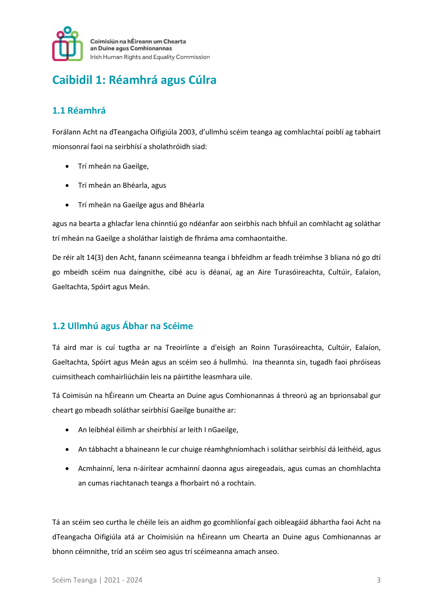

## **Caibidil 1: Réamhrá agus Cúlra**

#### **1.1 Réamhrá**

Forálann Acht na dTeangacha Oifigiúla 2003, d'ullmhú scéim teanga ag comhlachtaí poiblí ag tabhairt mionsonraí faoi na seirbhísí a sholathróidh siad:

- Trí mheán na Gaeilge,
- Trí mheán an Bhéarla, agus
- Trí mheán na Gaeilge agus and Bhéarla

agus na bearta a ghlacfar lena chinntiú go ndéanfar aon seirbhís nach bhfuil an comhlacht ag soláthar trí mheán na Gaeilge a sholáthar laistigh de fhráma ama comhaontaithe.

De réir alt 14(3) den Acht, fanann scéimeanna teanga i bhfeidhm ar feadh tréimhse 3 bliana nó go dtí go mbeidh scéim nua daingnithe, cibé acu is déanaí, ag an Aire Turasóireachta, Cultúir, Ealaíon, Gaeltachta, Spóirt agus Meán.

#### **1.2 Ullmhú agus Ábhar na Scéime**

Tá aird mar is cuí tugtha ar na Treoirlínte a d'eisigh an Roinn Turasóireachta, Cultúir, Ealaíon, Gaeltachta, Spóirt agus Meán agus an scéim seo á hullmhú. Ina theannta sin, tugadh faoi phróiseas cuimsitheach comhairliúcháin leis na páirtithe leasmhara uile.

Tá Coimisún na hÉireann um Chearta an Duine agus Comhionannas á threorú ag an bprionsabal gur cheart go mbeadh soláthar seirbhísí Gaeilge bunaithe ar:

- An leibhéal éilimh ar sheirbhísí ar leith I nGaeilge,
- An tábhacht a bhaineann le cur chuige réamhghníomhach i soláthar seirbhísí dá leithéid, agus
- Acmhainní, lena n-áirítear acmhainní daonna agus airegeadais, agus cumas an chomhlachta an cumas riachtanach teanga a fhorbairt nó a rochtain.

Tá an scéim seo curtha le chéile leis an aidhm go gcomhlíonfaí gach oibleagáid ábhartha faoi Acht na dTeangacha Oifigiúla atá ar Choimisiún na hÉireann um Chearta an Duine agus Comhionannas ar bhonn céimnithe, tríd an scéim seo agus trí scéimeanna amach anseo.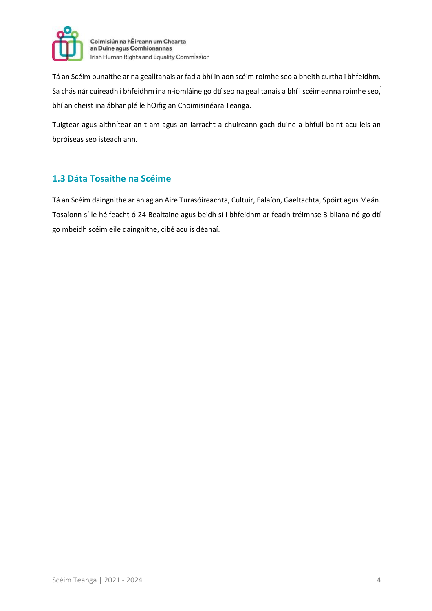

Tá an Scéim bunaithe ar na gealltanais ar fad a bhí in aon scéim roimhe seo a bheith curtha i bhfeidhm. Sa chás nár cuireadh i bhfeidhm ina n-iomláine go dtí seo na gealltanais a bhí i scéimeanna roimhe seo, bhí an cheist ina ábhar plé le hOifig an Choimisinéara Teanga.

Tuigtear agus aithnítear an t-am agus an iarracht a chuireann gach duine a bhfuil baint acu leis an bpróiseas seo isteach ann.

#### **1.3 Dáta Tosaithe na Scéime**

Tá an Scéim daingnithe ar an ag an Aire Turasóireachta, Cultúir, Ealaíon, Gaeltachta, Spóirt agus Meán. Tosaíonn sí le héifeacht ó 24 Bealtaine agus beidh sí i bhfeidhm ar feadh tréimhse 3 bliana nó go dtí go mbeidh scéim eile daingnithe, cibé acu is déanaí.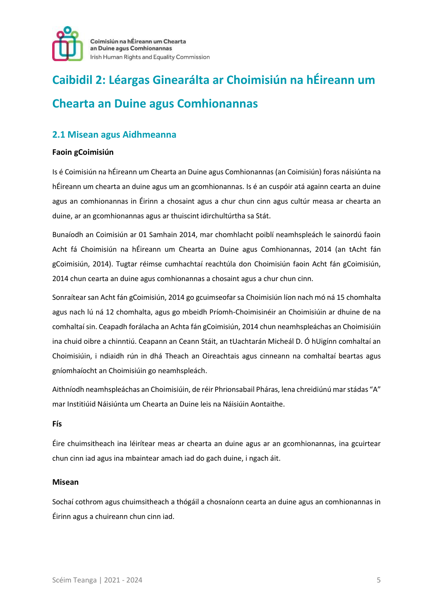

# **Caibidil 2: Léargas Ginearálta ar Choimisiún na hÉireann um Chearta an Duine agus Comhionannas**

#### **2.1 Misean agus Aidhmeanna**

#### **Faoin gCoimisiún**

Is é Coimisiún na hÉireann um Chearta an Duine agus Comhionannas (an Coimisiún) foras náisiúnta na hÉireann um chearta an duine agus um an gcomhionannas. Is é an cuspóir atá againn cearta an duine agus an comhionannas in Éirinn a chosaint agus a chur chun cinn agus cultúr measa ar chearta an duine, ar an gcomhionannas agus ar thuiscint idirchultúrtha sa Stát.

Bunaíodh an Coimisiún ar 01 Samhain 2014, mar chomhlacht poiblí neamhspleách le sainordú faoin Acht fá Choimisiún na hÉireann um Chearta an Duine agus Comhionannas, 2014 (an tAcht fán gCoimisiún, 2014). Tugtar réimse cumhachtaí reachtúla don Choimisiún faoin Acht fán gCoimisiún, 2014 chun cearta an duine agus comhionannas a chosaint agus a chur chun cinn.

Sonraítear san Acht fán gCoimisiún, 2014 go gcuimseofar sa Choimisiún líon nach mó ná 15 chomhalta agus nach lú ná 12 chomhalta, agus go mbeidh Príomh-Choimisinéir an Choimisiúin ar dhuine de na comhaltaí sin. Ceapadh forálacha an Achta fán gCoimisiún, 2014 chun neamhspleáchas an Choimisiúin ina chuid oibre a chinntiú. Ceapann an Ceann Stáit, an tUachtarán Micheál D. Ó hUigínn comhaltaí an Choimisiúin, i ndiaidh rún in dhá Theach an Oireachtais agus cinneann na comhaltaí beartas agus gníomhaíocht an Choimisiúin go neamhspleách.

Aithníodh neamhspleáchas an Choimisiúin, de réir Phrionsabail Pháras, lena chreidiúnú mar stádas "A" mar Institiúid Náisiúnta um Chearta an Duine leis na Náisiúin Aontaithe.

#### **Fís**

Éire chuimsitheach ina léirítear meas ar chearta an duine agus ar an gcomhionannas, ina gcuirtear chun cinn iad agus ina mbaintear amach iad do gach duine, i ngach áit.

#### **Misean**

Sochaí cothrom agus chuimsitheach a thógáil a chosnaíonn cearta an duine agus an comhionannas in Éirinn agus a chuireann chun cinn iad.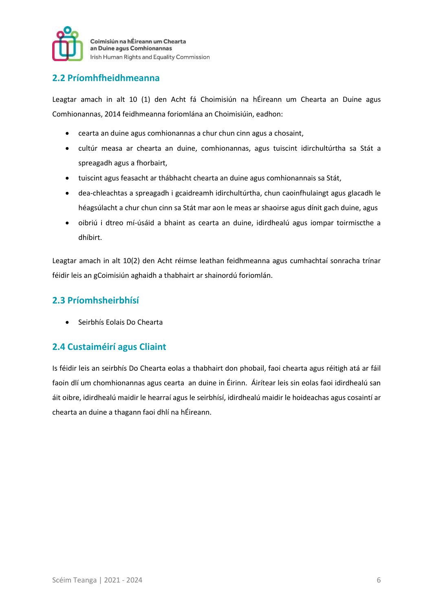

#### **2.2 Príomhfheidhmeanna**

Leagtar amach in alt 10 (1) den Acht fá Choimisiún na hÉireann um Chearta an Duine agus Comhionannas, 2014 feidhmeanna foriomlána an Choimisiúin, eadhon:

- cearta an duine agus comhionannas a chur chun cinn agus a chosaint,
- cultúr measa ar chearta an duine, comhionannas, agus tuiscint idirchultúrtha sa Stát a spreagadh agus a fhorbairt,
- tuiscint agus feasacht ar thábhacht chearta an duine agus comhionannais sa Stát,
- dea-chleachtas a spreagadh i gcaidreamh idirchultúrtha, chun caoinfhulaingt agus glacadh le héagsúlacht a chur chun cinn sa Stát mar aon le meas ar shaoirse agus dínit gach duine, agus
- oibriú i dtreo mí-úsáid a bhaint as cearta an duine, idirdhealú agus iompar toirmiscthe a dhíbirt.

Leagtar amach in alt 10(2) den Acht réimse leathan feidhmeanna agus cumhachtaí sonracha trínar féidir leis an gCoimisiún aghaidh a thabhairt ar shainordú foriomlán.

#### **2.3 Príomhsheirbhísí**

Seirbhís Eolais Do Chearta

#### **2.4 Custaiméirí agus Cliaint**

Is féidir leis an seirbhís Do Chearta eolas a thabhairt don phobail, faoi chearta agus réitigh atá ar fáil faoin dlí um chomhionannas agus cearta an duine in Éirinn. Áirítear leis sin eolas faoi idirdhealú san áit oibre, idirdhealú maidir le hearraí agus le seirbhísí, idirdhealú maidir le hoideachas agus cosaintí ar chearta an duine a thagann faoi dhlí na hÉireann.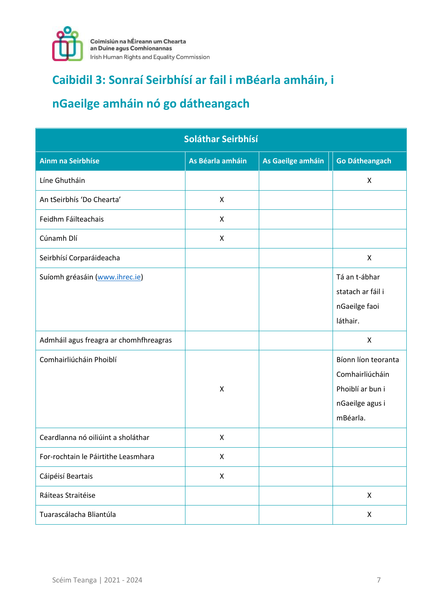

# **Caibidil 3: Sonraí Seirbhísí ar fail i mBéarla amháin, i**

# **nGaeilge amháin nó go dátheangach**

| Soláthar Seirbhísí                                                       |                  |                   |                                                                                           |
|--------------------------------------------------------------------------|------------------|-------------------|-------------------------------------------------------------------------------------------|
| <b>Ainm na Seirbhíse</b>                                                 | As Béarla amháin | As Gaeilge amháin | <b>Go Dátheangach</b>                                                                     |
| Líne Ghutháin                                                            |                  |                   | X                                                                                         |
| An tSeirbhís 'Do Chearta'                                                | X                |                   |                                                                                           |
| Feidhm Fáilteachais                                                      | X                |                   |                                                                                           |
| Cúnamh Dlí                                                               | X                |                   |                                                                                           |
| Seirbhísí Corparáideacha                                                 |                  |                   | X                                                                                         |
| Suíomh gréasáin (www.ihrec.ie)<br>Admháil agus freagra ar chomhfhreagras |                  |                   | Tá an t-ábhar<br>statach ar fáil i<br>nGaeilge faoi<br>láthair.<br>X                      |
| Comhairliúcháin Phoiblí                                                  | X                |                   | Bíonn líon teoranta<br>Comhairliúcháin<br>Phoiblí ar bun i<br>nGaeilge agus i<br>mBéarla. |
| Ceardlanna nó oiliúint a sholáthar                                       | $\mathsf{X}$     |                   |                                                                                           |
| For-rochtain le Páirtithe Leasmhara                                      | X                |                   |                                                                                           |
| Cáipéisí Beartais                                                        | X                |                   |                                                                                           |
| Ráiteas Straitéise                                                       |                  |                   | X                                                                                         |
| Tuarascálacha Bliantúla                                                  |                  |                   | X                                                                                         |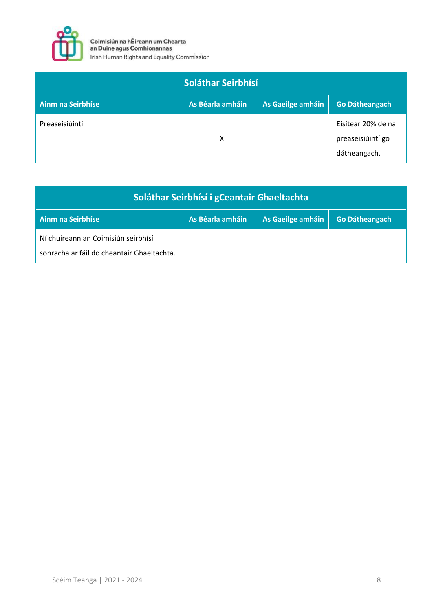

| Soláthar Seirbhísí       |                  |                   |                                                         |
|--------------------------|------------------|-------------------|---------------------------------------------------------|
| <b>Ainm na Seirbhíse</b> | As Béarla amháin | As Gaeilge amháin | <b>Go Dátheangach</b>                                   |
| Preaseisiúintí           | x                |                   | Eisítear 20% de na<br>preaseisiúintí go<br>dátheangach. |

| Soláthar Seirbhísí i gCeantair Ghaeltachta                                        |                  |                   |                       |
|-----------------------------------------------------------------------------------|------------------|-------------------|-----------------------|
| Ainm na Seirbhíse                                                                 | As Béarla amháin | As Gaeilge amháin | <b>Go Dátheangach</b> |
| Ní chuireann an Coimisiún seirbhísí<br>sonracha ar fáil do cheantair Ghaeltachta. |                  |                   |                       |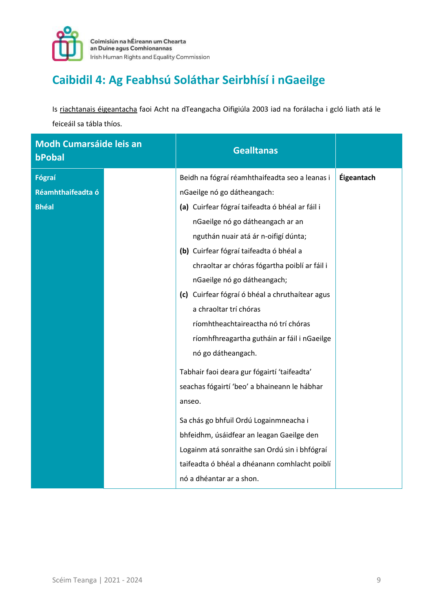

# **Caibidil 4: Ag Feabhsú Soláthar Seirbhísí i nGaeilge**

Is riachtanais éigeantacha faoi Acht na dTeangacha Oifigiúla 2003 iad na forálacha i gcló liath atá le feiceáil sa tábla thíos.

| <b>Modh Cumarsáide leis an</b><br>bPobal | <b>Gealltanas</b>                               |            |
|------------------------------------------|-------------------------------------------------|------------|
| Fógraí                                   | Beidh na fógraí réamhthaifeadta seo a leanas i  | Éigeantach |
| Réamhthaifeadta ó                        | nGaeilge nó go dátheangach:                     |            |
| <b>Bhéal</b>                             | (a) Cuirfear fógraí taifeadta ó bhéal ar fáil i |            |
|                                          | nGaeilge nó go dátheangach ar an                |            |
|                                          | nguthán nuair atá ár n-oifigí dúnta;            |            |
|                                          | (b) Cuirfear fógraí taifeadta ó bhéal a         |            |
|                                          | chraoltar ar chóras fógartha poiblí ar fáil i   |            |
|                                          | nGaeilge nó go dátheangach;                     |            |
|                                          | (c) Cuirfear fógraí ó bhéal a chruthaítear agus |            |
|                                          | a chraoltar trí chóras                          |            |
|                                          | ríomhtheachtaireactha nó trí chóras             |            |
|                                          | ríomhfhreagartha gutháin ar fáil i nGaeilge     |            |
|                                          | nó go dátheangach.                              |            |
|                                          | Tabhair faoi deara gur fógairtí 'taifeadta'     |            |
|                                          | seachas fógairtí 'beo' a bhaineann le hábhar    |            |
|                                          | anseo.                                          |            |
|                                          | Sa chás go bhfuil Ordú Logainmneacha i          |            |
|                                          | bhfeidhm, úsáidfear an leagan Gaeilge den       |            |
|                                          | Logainm atá sonraithe san Ordú sin i bhfógraí   |            |
|                                          | taifeadta ó bhéal a dhéanann comhlacht poiblí   |            |
|                                          | nó a dhéantar ar a shon.                        |            |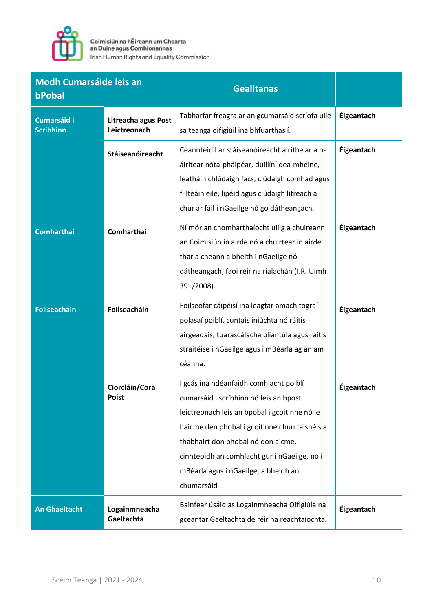

| <b>Modh Cumarsáide leis an</b><br>bPobal |                                     | <b>Gealltanas</b>                                                                                                                                                                                                                                                                                                              |            |
|------------------------------------------|-------------------------------------|--------------------------------------------------------------------------------------------------------------------------------------------------------------------------------------------------------------------------------------------------------------------------------------------------------------------------------|------------|
| Cumarsáid i<br><b>Scríbhinn</b>          | Litreacha agus Post<br>Leictreonach | Tabharfar freagra ar an gcumarsáid scríofa uile<br>sa teanga oifigiúil ina bhfuarthas í.                                                                                                                                                                                                                                       | Éigeantach |
|                                          | Stáiseanóireacht                    | Ceannteidil ar stáiseanóireacht áirithe ar a n-<br>áirítear nóta-pháipéar, duillíní dea-mhéine,<br>leatháin chlúdaigh facs, clúdaigh comhad agus<br>fillteáin eile, lipéid agus clúdaigh litreach a<br>chur ar fáil i nGaeilge nó go dátheangach.                                                                              | Éigeantach |
| <b>Comharthaí</b>                        | Comharthaí                          | Ní mór an chomharthaíocht uilig a chuireann<br>an Coimisiún in airde nó a chuirtear in airde<br>thar a cheann a bheith i nGaeilge nó<br>dátheangach, faoi réir na rialachán (I.R. Uimh<br>391/2008).                                                                                                                           | Éigeantach |
| <b>Foilseacháin</b>                      | Foilseacháin                        | Foilseofar cáipéisí ina leagtar amach tograí<br>polasaí poiblí, cuntais iniúchta nó ráitis<br>airgeadais, tuarascálacha bliantúla agus ráitis<br>straitéise i nGaeilge agus i mBéarla ag an am<br>céanna.                                                                                                                      | Éigeantach |
|                                          | Ciorcláin/Cora<br>Poist             | I gcás ina ndéanfaidh comhlacht poiblí<br>cumarsáid i scríbhinn nó leis an bpost<br>leictreonach leis an bpobal i gcoitinne nó le<br>haicme den phobal i gcoitinne chun faisnéis a<br>thabhairt don phobal nó don aicme,<br>cinnteoidh an comhlacht gur i nGaeilge, nó i<br>mBéarla agus i nGaeilge, a bheidh an<br>chumarsáid | Éigeantach |
| <b>An Ghaeltacht</b>                     | Logainmneacha<br>Gaeltachta         | Bainfear úsáid as Logainmneacha Oifigiúla na<br>gceantar Gaeltachta de réir na reachtaíochta.                                                                                                                                                                                                                                  | Éigeantach |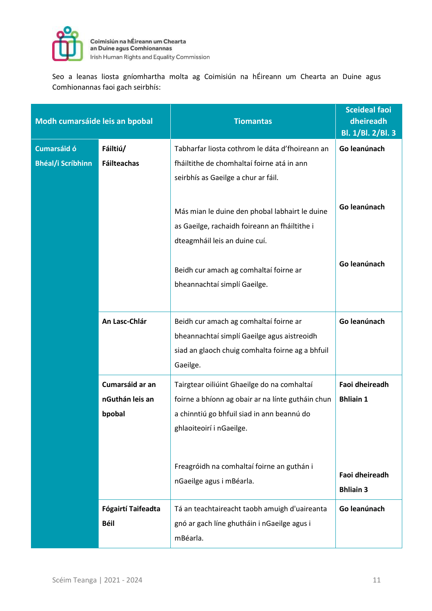

Seo a leanas liosta gníomhartha molta ag Coimisiún na hÉireann um Chearta an Duine agus Comhionannas faoi gach seirbhís:

| Modh cumarsáide leis an bpobal                 |                                              | <b>Tiomantas</b>                                                                                                                                                                                                                                     | <b>Sceideal faoi</b><br>dheireadh<br>Bl. 1/Bl. 2/Bl. 3                                 |
|------------------------------------------------|----------------------------------------------|------------------------------------------------------------------------------------------------------------------------------------------------------------------------------------------------------------------------------------------------------|----------------------------------------------------------------------------------------|
| <b>Cumarsáid ó</b><br><b>Bhéal/i Scríbhinn</b> | Fáiltiú/<br><b>Fáilteachas</b>               | Tabharfar liosta cothrom le dáta d'fhoireann an<br>fháiltithe de chomhaltaí foirne atá in ann<br>seirbhís as Gaeilge a chur ar fáil.                                                                                                                 | Go leanúnach                                                                           |
|                                                |                                              | Más mian le duine den phobal labhairt le duine<br>as Gaeilge, rachaidh foireann an fháiltithe i<br>dteagmháil leis an duine cuí.                                                                                                                     | Go leanúnach                                                                           |
|                                                |                                              | Beidh cur amach ag comhaltaí foirne ar<br>bheannachtaí simplí Gaeilge.                                                                                                                                                                               | Go leanúnach                                                                           |
|                                                | An Lasc-Chlár                                | Beidh cur amach ag comhaltaí foirne ar<br>bheannachtaí simplí Gaeilge agus aistreoidh<br>siad an glaoch chuig comhalta foirne ag a bhfuil<br>Gaeilge.                                                                                                | Go leanúnach                                                                           |
|                                                | Cumarsáid ar an<br>nGuthán leis an<br>bpobal | Tairgtear oiliúint Ghaeilge do na comhaltaí<br>foirne a bhíonn ag obair ar na línte gutháin chun<br>a chinntiú go bhfuil siad in ann beannú do<br>ghlaoiteoirí i nGaeilge.<br>Freagróidh na comhaltaí foirne an guthán i<br>nGaeilge agus i mBéarla. | <b>Faoi dheireadh</b><br><b>Bhliain 1</b><br><b>Faoi dheireadh</b><br><b>Bhliain 3</b> |
|                                                | Fógairtí Taifeadta<br><b>Béil</b>            | Tá an teachtaireacht taobh amuigh d'uaireanta<br>gnó ar gach líne ghutháin i nGaeilge agus i<br>mBéarla.                                                                                                                                             | Go leanúnach                                                                           |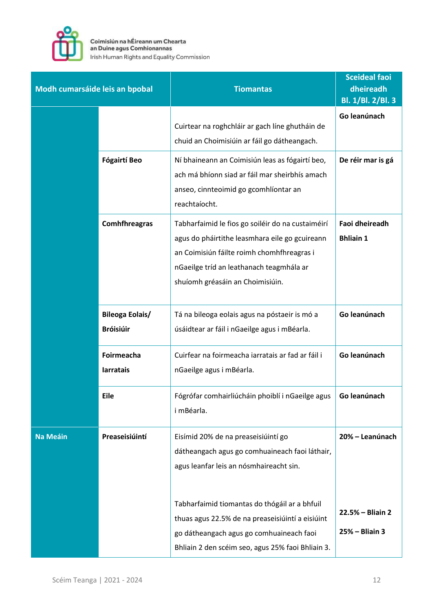

| Modh cumarsáide leis an bpobal |                                            | <b>Tiomantas</b>                                                                                                                                                                                                                  | <b>Sceideal faoi</b><br>dheireadh<br>Bl. 1/Bl. 2/Bl. 3 |
|--------------------------------|--------------------------------------------|-----------------------------------------------------------------------------------------------------------------------------------------------------------------------------------------------------------------------------------|--------------------------------------------------------|
|                                |                                            | Cuirtear na roghchláir ar gach líne ghutháin de<br>chuid an Choimisiúin ar fáil go dátheangach.                                                                                                                                   | Go leanúnach                                           |
|                                | <b>Fógairtí Beo</b>                        | Ní bhaineann an Coimisiún leas as fógairtí beo,<br>ach má bhíonn siad ar fáil mar sheirbhís amach<br>anseo, cinnteoimid go gcomhlíontar an<br>reachtaíocht.                                                                       | De réir mar is gá                                      |
|                                | <b>Comhfhreagras</b>                       | Tabharfaimid le fios go soiléir do na custaiméirí<br>agus do pháirtithe leasmhara eile go gcuireann<br>an Coimisiún fáilte roimh chomhfhreagras i<br>nGaeilge tríd an leathanach teagmhála ar<br>shuíomh gréasáin an Choimisiúin. | <b>Faoi dheireadh</b><br><b>Bhliain 1</b>              |
|                                | <b>Bileoga Eolais/</b><br><b>Bróisiúir</b> | Tá na bileoga eolais agus na póstaeir is mó a<br>úsáidtear ar fáil i nGaeilge agus i mBéarla.                                                                                                                                     | Go leanúnach                                           |
|                                | Foirmeacha<br>larratais                    | Cuirfear na foirmeacha iarratais ar fad ar fáil i<br>nGaeilge agus i mBéarla.                                                                                                                                                     | Go leanúnach                                           |
|                                | <b>Eile</b>                                | Fógrófar comhairliúcháin phoiblí i nGaeilge agus<br>i mBéarla.                                                                                                                                                                    | Go leanúnach                                           |
| Na Meáin                       | Preaseisiúintí                             | Eisímid 20% de na preaseisiúintí go<br>dátheangach agus go comhuaineach faoi láthair,<br>agus leanfar leis an nósmhaireacht sin.                                                                                                  | 20% - Leanúnach                                        |
|                                |                                            | Tabharfaimid tiomantas do thógáil ar a bhfuil<br>thuas agus 22.5% de na preaseisiúintí a eisiúint<br>go dátheangach agus go comhuaineach faoi<br>Bhliain 2 den scéim seo, agus 25% faoi Bhliain 3.                                | 22.5% – Bliain 2<br>$25% - Bliain 3$                   |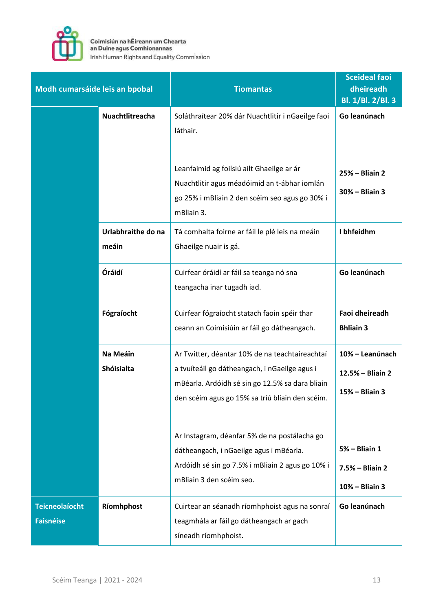

| Modh cumarsáide leis an bpobal            |                             | <b>Tiomantas</b>                                                                                                                                                                                             | <b>Sceideal faoi</b><br>dheireadh<br>Bl. 1/Bl. 2/Bl. 3 |
|-------------------------------------------|-----------------------------|--------------------------------------------------------------------------------------------------------------------------------------------------------------------------------------------------------------|--------------------------------------------------------|
|                                           | Nuachtlitreacha             | Soláthraítear 20% dár Nuachtlitir i nGaeilge faoi<br>láthair.<br>Leanfaimid ag foilsiú ailt Ghaeilge ar ár<br>Nuachtlitir agus méadóimid an t-ábhar iomlán<br>go 25% i mBliain 2 den scéim seo agus go 30% i | Go leanúnach<br>25% - Bliain 2<br>30% - Bliain 3       |
|                                           | Urlabhraithe do na<br>meáin | mBliain 3.<br>Tá comhalta foirne ar fáil le plé leis na meáin<br>Ghaeilge nuair is gá.                                                                                                                       | I bhfeidhm                                             |
|                                           | Óráidí                      | Cuirfear óráidí ar fáil sa teanga nó sna<br>teangacha inar tugadh iad.                                                                                                                                       | Go leanúnach                                           |
|                                           | Fógraíocht                  | Cuirfear fógraíocht statach faoin spéir thar<br>ceann an Coimisiúin ar fáil go dátheangach.                                                                                                                  | Faoi dheireadh<br><b>Bhliain 3</b>                     |
|                                           | Na Meáin<br>Shóisialta      | Ar Twitter, déantar 10% de na teachtaireachtaí<br>a tvuíteáil go dátheangach, i nGaeilge agus i<br>mBéarla. Ardóidh sé sin go 12.5% sa dara bliain<br>den scéim agus go 15% sa tríú bliain den scéim.        | 10% - Leanúnach<br>12.5% - Bliain 2<br>15% - Bliain 3  |
|                                           |                             | Ar Instagram, déanfar 5% de na postálacha go<br>dátheangach, i nGaeilge agus i mBéarla.<br>Ardóidh sé sin go 7.5% i mBliain 2 agus go 10% i<br>mBliain 3 den scéim seo.                                      | $5%$ - Bliain 1<br>7.5% - Bliain 2<br>10% - Bliain 3   |
| <b>Teicneolaíocht</b><br><b>Faisnéise</b> | Ríomhphost                  | Cuirtear an séanadh ríomhphoist agus na sonraí<br>teagmhála ar fáil go dátheangach ar gach<br>síneadh ríomhphoist.                                                                                           | Go leanúnach                                           |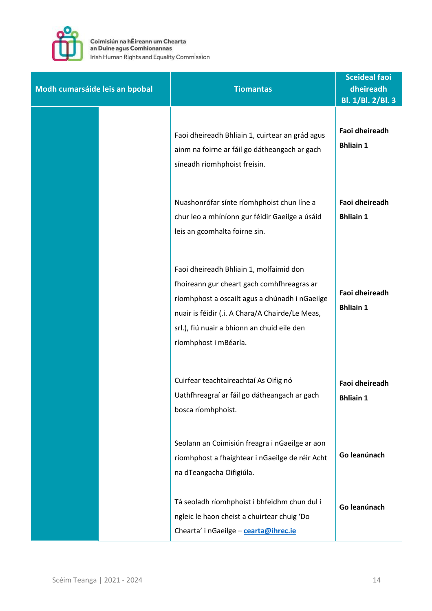

| Modh cumarsáide leis an bpobal | <b>Tiomantas</b>                                                                                                                                                                                                                                                   | <b>Sceideal faoi</b><br>dheireadh<br>Bl. 1/Bl. 2/Bl. 3 |
|--------------------------------|--------------------------------------------------------------------------------------------------------------------------------------------------------------------------------------------------------------------------------------------------------------------|--------------------------------------------------------|
|                                | Faoi dheireadh Bhliain 1, cuirtear an grád agus<br>ainm na foirne ar fáil go dátheangach ar gach<br>síneadh ríomhphoist freisin.                                                                                                                                   | <b>Faoi dheireadh</b><br><b>Bhliain 1</b>              |
|                                | Nuashonrófar sínte ríomhphoist chun líne a<br>chur leo a mhíníonn gur féidir Gaeilge a úsáid<br>leis an gcomhalta foirne sin.                                                                                                                                      | Faoi dheireadh<br><b>Bhliain 1</b>                     |
|                                | Faoi dheireadh Bhliain 1, molfaimid don<br>fhoireann gur cheart gach comhfhreagras ar<br>ríomhphost a oscailt agus a dhúnadh i nGaeilge<br>nuair is féidir (.i. A Chara/A Chairde/Le Meas,<br>srl.), fiú nuair a bhíonn an chuid eile den<br>ríomhphost i mBéarla. | Faoi dheireadh<br><b>Bhliain 1</b>                     |
|                                | Cuirfear teachtaireachtaí As Oifig nó<br>Uathfhreagraí ar fáil go dátheangach ar gach<br>bosca ríomhphoist.                                                                                                                                                        | Faoi dheireadh<br><b>Bhliain 1</b>                     |
|                                | Seolann an Coimisiún freagra i nGaeilge ar aon<br>ríomhphost a fhaightear i nGaeilge de réir Acht<br>na dTeangacha Oifigiúla.                                                                                                                                      | Go leanúnach                                           |
|                                | Tá seoladh ríomhphoist i bhfeidhm chun dul i<br>ngleic le haon cheist a chuirtear chuig 'Do<br>Chearta' i nGaeilge - cearta@ihrec.ie                                                                                                                               | Go leanúnach                                           |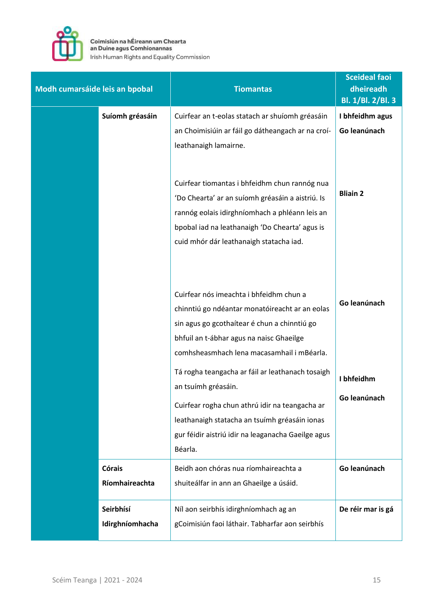

| Modh cumarsáide leis an bpobal |                 | <b>Tiomantas</b>                                                                                                                                                                                                                                                                                                                                                                                                                                                                   | <b>Sceideal faoi</b><br>dheireadh<br>Bl. 1/Bl. 2/Bl. 3 |
|--------------------------------|-----------------|------------------------------------------------------------------------------------------------------------------------------------------------------------------------------------------------------------------------------------------------------------------------------------------------------------------------------------------------------------------------------------------------------------------------------------------------------------------------------------|--------------------------------------------------------|
|                                | Suíomh gréasáin | Cuirfear an t-eolas statach ar shuíomh gréasáin                                                                                                                                                                                                                                                                                                                                                                                                                                    | I bhfeidhm agus                                        |
|                                |                 | an Choimisiúin ar fáil go dátheangach ar na croí-                                                                                                                                                                                                                                                                                                                                                                                                                                  | Go leanúnach                                           |
|                                |                 | leathanaigh lamairne.<br>Cuirfear tiomantas i bhfeidhm chun rannóg nua                                                                                                                                                                                                                                                                                                                                                                                                             |                                                        |
|                                |                 | 'Do Chearta' ar an suíomh gréasáin a aistriú. Is                                                                                                                                                                                                                                                                                                                                                                                                                                   | <b>Bliain 2</b>                                        |
|                                |                 | rannóg eolais idirghníomhach a phléann leis an                                                                                                                                                                                                                                                                                                                                                                                                                                     |                                                        |
|                                |                 | bpobal iad na leathanaigh 'Do Chearta' agus is                                                                                                                                                                                                                                                                                                                                                                                                                                     |                                                        |
|                                |                 | cuid mhór dár leathanaigh statacha iad.                                                                                                                                                                                                                                                                                                                                                                                                                                            |                                                        |
|                                |                 | Cuirfear nós imeachta i bhfeidhm chun a<br>chinntiú go ndéantar monatóireacht ar an eolas<br>sin agus go gcothaítear é chun a chinntiú go<br>bhfuil an t-ábhar agus na naisc Ghaeilge<br>comhsheasmhach lena macasamhail i mBéarla.<br>Tá rogha teangacha ar fáil ar leathanach tosaigh<br>an tsuímh gréasáin.<br>Cuirfear rogha chun athrú idir na teangacha ar<br>leathanaigh statacha an tsuímh gréasáin ionas<br>gur féidir aistriú idir na leaganacha Gaeilge agus<br>Béarla. | Go leanúnach<br>I bhfeidhm<br>Go leanúnach             |
|                                | <b>Córais</b>   | Beidh aon chóras nua ríomhaireachta a                                                                                                                                                                                                                                                                                                                                                                                                                                              | Go leanúnach                                           |
|                                | Ríomhaireachta  | shuiteálfar in ann an Ghaeilge a úsáid.                                                                                                                                                                                                                                                                                                                                                                                                                                            |                                                        |
|                                | Seirbhísí       | Níl aon seirbhís idirghníomhach ag an                                                                                                                                                                                                                                                                                                                                                                                                                                              | De réir mar is gá                                      |
|                                | Idirghníomhacha | gCoimisiún faoi láthair. Tabharfar aon seirbhís                                                                                                                                                                                                                                                                                                                                                                                                                                    |                                                        |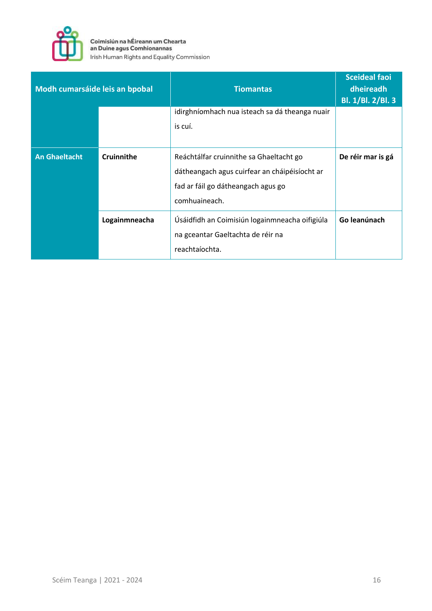

| Modh cumarsáide leis an bpobal |               | <b>Tiomantas</b>                               | <b>Sceideal faoi</b><br>dheireadh<br>Bl. 1/Bl. 2/Bl. 3 |
|--------------------------------|---------------|------------------------------------------------|--------------------------------------------------------|
|                                |               | idirghníomhach nua isteach sa dá theanga nuair |                                                        |
|                                |               | is cuí.                                        |                                                        |
|                                |               |                                                |                                                        |
| <b>An Ghaeltacht</b>           | Cruinnithe    | Reáchtálfar cruinnithe sa Ghaeltacht go        | De réir mar is gá                                      |
|                                |               | dátheangach agus cuirfear an cháipéisíocht ar  |                                                        |
|                                |               | fad ar fáil go dátheangach agus go             |                                                        |
|                                |               | comhuaineach.                                  |                                                        |
|                                | Logainmneacha | Úsáidfidh an Coimisiún logainmneacha oifigiúla | Go leanúnach                                           |
|                                |               | na gceantar Gaeltachta de réir na              |                                                        |
|                                |               | reachtaíochta.                                 |                                                        |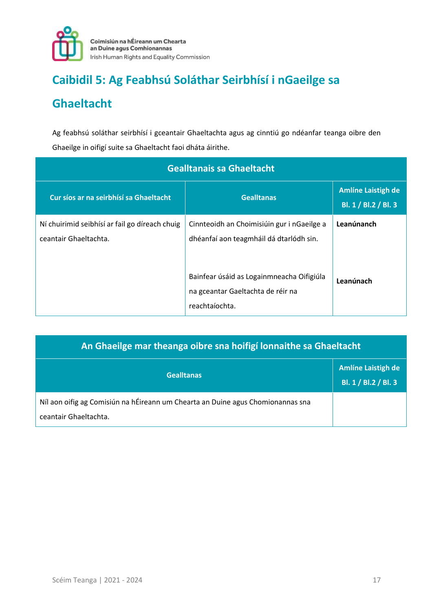

# **Caibidil 5: Ag Feabhsú Soláthar Seirbhísí i nGaeilge sa**

# **Ghaeltacht**

Ag feabhsú soláthar seirbhísí i gceantair Ghaeltachta agus ag cinntiú go ndéanfar teanga oibre den Ghaeilge in oifigí suite sa Ghaeltacht faoi dháta áirithe.

| <b>Gealltanais sa Ghaeltacht</b>                                        |                                                                                                  |                                                    |  |
|-------------------------------------------------------------------------|--------------------------------------------------------------------------------------------------|----------------------------------------------------|--|
| Cur síos ar na seirbhísí sa Ghaeltacht                                  | <b>Gealltanas</b>                                                                                | <b>Amlíne Laistigh de</b><br>Bl. 1 / Bl. 2 / Bl. 3 |  |
| Ní chuirimid seibhísí ar fail go díreach chuig<br>ceantair Ghaeltachta. | Cinnteoidh an Choimisiúin gur i nGaeilge a<br>dhéanfaí aon teagmháil dá dtarlódh sin.            | Leanúnanch                                         |  |
|                                                                         | Bainfear úsáid as Logainmneacha Oifigiúla<br>na gceantar Gaeltachta de réir na<br>reachtaíochta. | Leanúnach                                          |  |

| An Ghaeilge mar theanga oibre sna hoifigí lonnaithe sa Ghaeltacht                                        |                                                   |  |
|----------------------------------------------------------------------------------------------------------|---------------------------------------------------|--|
| <b>Gealltanas</b>                                                                                        | <b>Amlíne Laistigh de</b><br>Bl. 1 / Bl.2 / Bl. 3 |  |
| Níl aon oifig ag Comisiún na hÉireann um Chearta an Duine agus Chomionannas sna<br>ceantair Ghaeltachta. |                                                   |  |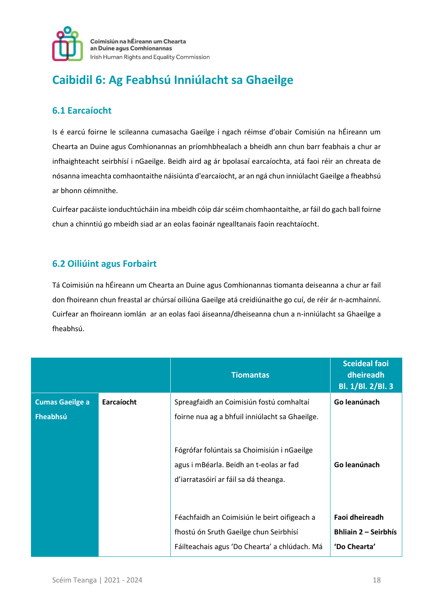

# **Caibidil 6: Ag Feabhsú Inniúlacht sa Ghaeilge**

#### **6.1 Earcaíocht**

Is é earcú foirne le scileanna cumasacha Gaeilge i ngach réimse d'obair Comisiún na hÉireann um Chearta an Duine agus Comhionannas an príomhbhealach a bheidh ann chun barr feabhais a chur ar infhaighteacht seirbhísí i nGaeilge. Beidh aird ag ár bpolasaí earcaíochta, atá faoi réir an chreata de nósanna imeachta comhaontaithe náisiúnta d'earcaíocht, ar an ngá chun inniúlacht Gaeilge a fheabhsú ar bhonn céimnithe.

Cuirfear pacáiste ionduchtúcháin ina mbeidh cóip dár scéim chomhaontaithe, ar fáil do gach ball foirne chun a chinntiú go mbeidh siad ar an eolas faoinár ngealltanais faoin reachtaíocht.

#### **6.2 Oiliúint agus Forbairt**

Tá Coimisiún na hÉireann um Chearta an Duine agus Comhionannas tiomanta deiseanna a chur ar fail don fhoireann chun freastal ar chúrsaí oiliúna Gaeilge atá creidiúnaithe go cuí, de réir ár n-acmhainní. Cuirfear an fhoireann iomlán ar an eolas faoi áiseanna/dheiseanna chun a n-inniúlacht sa Ghaeilge a fheabhsú.

|                                    |            | <b>Tiomantas</b>                                                                                                                                                                                                              | <b>Sceideal faoi</b><br>dheireadh<br><b>Bl. 1/Bl. 2/Bl. 3</b> |
|------------------------------------|------------|-------------------------------------------------------------------------------------------------------------------------------------------------------------------------------------------------------------------------------|---------------------------------------------------------------|
| <b>Cumas Gaeilge a</b><br>Fheabhsú | Earcaíocht | Spreagfaidh an Coimisiún fostú comhaltaí<br>foirne nua ag a bhfuil inniúlacht sa Ghaeilge.<br>Fógrófar folúntais sa Choimisiún i nGaeilge<br>agus i mBéarla. Beidh an t-eolas ar fad<br>d'iarratasóirí ar fáil sa dá theanga. | Go leanúnach<br>Go leanúnach                                  |
|                                    |            | Féachfaidh an Coimisiún le beirt oifigeach a<br>fhostú ón Sruth Gaeilge chun Seirbhísí                                                                                                                                        | Faoi dheireadh<br><b>Bhliain 2 – Seirbhís</b>                 |
|                                    |            | Fáilteachais agus 'Do Chearta' a chlúdach. Má                                                                                                                                                                                 | 'Do Chearta'                                                  |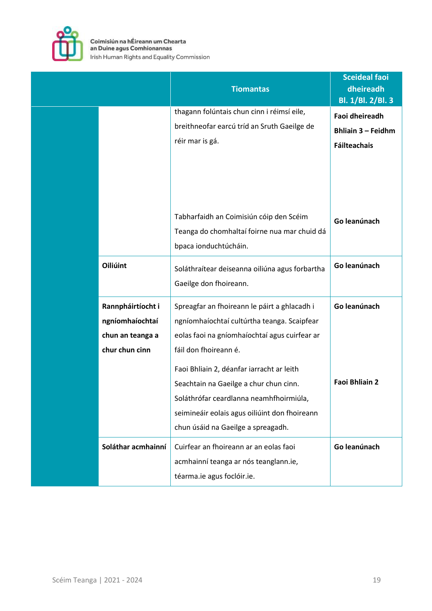

|                                                                            | <b>Tiomantas</b>                                                                                                                                                                                                                                                                                                                                                                               | <b>Sceideal faoi</b><br>dheireadh<br>Bl. 1/Bl. 2/Bl. 3             |
|----------------------------------------------------------------------------|------------------------------------------------------------------------------------------------------------------------------------------------------------------------------------------------------------------------------------------------------------------------------------------------------------------------------------------------------------------------------------------------|--------------------------------------------------------------------|
|                                                                            | thagann folúntais chun cinn i réimsí eile,<br>breithneofar earcú tríd an Sruth Gaeilge de<br>réir mar is gá.                                                                                                                                                                                                                                                                                   | Faoi dheireadh<br><b>Bhliain 3 - Feidhm</b><br><b>Fáilteachais</b> |
|                                                                            | Tabharfaidh an Coimisiún cóip den Scéim<br>Teanga do chomhaltaí foirne nua mar chuid dá<br>bpaca ionduchtúcháin.                                                                                                                                                                                                                                                                               | Go leanúnach                                                       |
| Oiliúint                                                                   | Soláthraítear deiseanna oiliúna agus forbartha<br>Gaeilge don fhoireann.                                                                                                                                                                                                                                                                                                                       | Go leanúnach                                                       |
| Rannpháirtíocht i<br>ngníomhaíochtaí<br>chun an teanga a<br>chur chun cinn | Spreagfar an fhoireann le páirt a ghlacadh i<br>ngníomhaíochtaí cultúrtha teanga. Scaipfear<br>eolas faoi na gníomhaíochtaí agus cuirfear ar<br>fáil don fhoireann é.<br>Faoi Bhliain 2, déanfar iarracht ar leith<br>Seachtain na Gaeilge a chur chun cinn.<br>Soláthrófar ceardlanna neamhfhoirmiúla,<br>seimineáir eolais agus oiliúint don fhoireann<br>chun úsáid na Gaeilge a spreagadh. | Go leanúnach<br><b>Faoi Bhliain 2</b>                              |
| Soláthar acmhainní                                                         | Cuirfear an fhoireann ar an eolas faoi<br>acmhainní teanga ar nós teanglann.ie,<br>téarma.ie agus foclóir.ie.                                                                                                                                                                                                                                                                                  | Go leanúnach                                                       |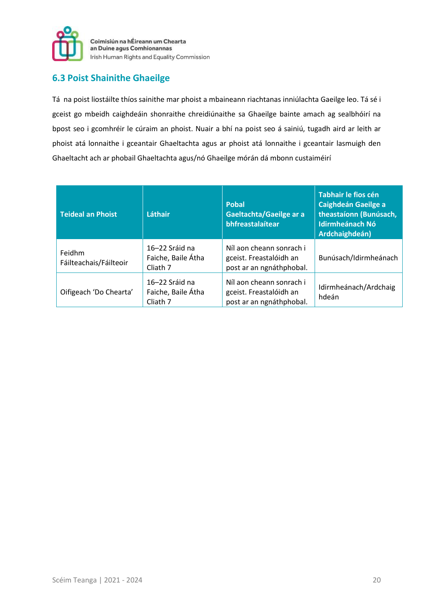

#### **6.3 Poist Shainithe Ghaeilge**

Tá na poist liostáilte thíos sainithe mar phoist a mbaineann riachtanas inniúlachta Gaeilge leo. Tá sé i gceist go mbeidh caighdeáin shonraithe chreidiúnaithe sa Ghaeilge bainte amach ag sealbhóirí na bpost seo i gcomhréir le cúraim an phoist. Nuair a bhí na poist seo á sainiú, tugadh aird ar leith ar phoist atá lonnaithe i gceantair Ghaeltachta agus ar phoist atá lonnaithe i gceantair lasmuigh den Ghaeltacht ach ar phobail Ghaeltachta agus/nó Ghaeilge mórán dá mbonn custaiméirí

| <b>Teideal an Phoist</b>         | Láthair                                          | <b>Pobal</b><br>Gaeltachta/Gaeilge ar a<br>bhfreastalaítear                     | Tabhair le fios cén<br><b>Caighdeán Gaeilge a</b><br>theastaíonn (Bunúsach,<br><b>Idirmheánach Nó</b><br>Ardchaighdeán) |
|----------------------------------|--------------------------------------------------|---------------------------------------------------------------------------------|-------------------------------------------------------------------------------------------------------------------------|
| Feidhm<br>Fáilteachais/Fáilteoir | 16–22 Sráid na<br>Faiche, Baile Átha<br>Cliath 7 | Níl aon cheann sonrach i<br>gceist. Freastalóidh an<br>post ar an ngnáthphobal. | Bunúsach/Idirmheánach                                                                                                   |
| Oifigeach 'Do Chearta'           | 16–22 Sráid na<br>Faiche, Baile Átha<br>Cliath 7 | Níl aon cheann sonrach i<br>gceist. Freastalóidh an<br>post ar an ngnáthphobal. | Idirmheánach/Ardchaig<br>hdeán                                                                                          |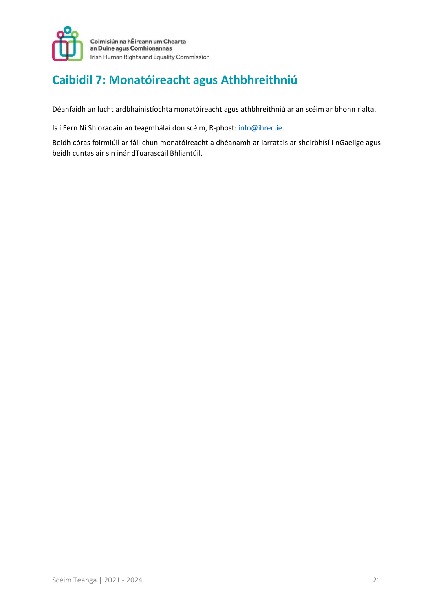

# **Caibidil 7: Monatóireacht agus Athbhreithniú**

Déanfaidh an lucht ardbhainistíochta monatóireacht agus athbhreithniú ar an scéim ar bhonn rialta.

Is í Fern Ní Shíoradáin an teagmhálaí don scéim, R-phost: info@ihrec.ie.

Beidh córas foirmiúil ar fáil chun monatóireacht a dhéanamh ar iarratais ar sheirbhísí i nGaeilge agus beidh cuntas air sin inár dTuarascáil Bhliantúil.